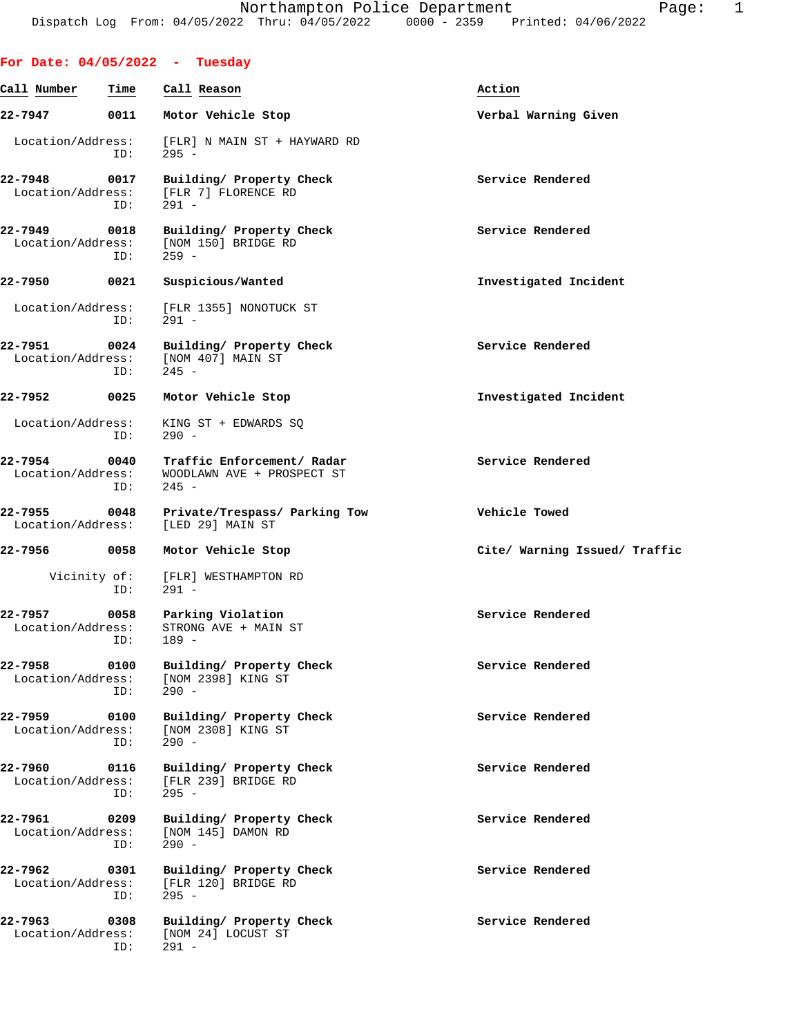|                              |                     | For Date: $04/05/2022 - Tuesday$                                    |                               |
|------------------------------|---------------------|---------------------------------------------------------------------|-------------------------------|
| Call Number                  | Time                | Call Reason                                                         | Action                        |
| 22-7947                      | 0011                | Motor Vehicle Stop                                                  | Verbal Warning Given          |
| Location/Address:            | ID:                 | [FLR] N MAIN ST + HAYWARD RD<br>$295 -$                             |                               |
| 22-7948<br>Location/Address: | 0017<br>ID:         | Building/ Property Check<br>[FLR 7] FLORENCE RD<br>$291 -$          | Service Rendered              |
| 22-7949<br>Location/Address: | 0018<br>ID:         | Building/ Property Check<br>[NOM 150] BRIDGE RD<br>$259 -$          | Service Rendered              |
| 22-7950                      | 0021                | Suspicious/Wanted                                                   | Investigated Incident         |
| Location/Address:            | ID:                 | [FLR 1355] NONOTUCK ST<br>$291 -$                                   |                               |
| 22-7951<br>Location/Address: | 0024<br>ID:         | Building/ Property Check<br>[NOM 407] MAIN ST<br>$245 -$            | Service Rendered              |
| 22-7952                      | 0025                | Motor Vehicle Stop                                                  | Investigated Incident         |
| Location/Address:            | ID:                 | KING ST + EDWARDS SQ<br>$290 -$                                     |                               |
| 22-7954<br>Location/Address: | 0040<br>ID:         | Traffic Enforcement/ Radar<br>WOODLAWN AVE + PROSPECT ST<br>$245 -$ | Service Rendered              |
| 22-7955<br>Location/Address: | 0048                | Private/Trespass/ Parking Tow<br>[LED 29] MAIN ST                   | Vehicle Towed                 |
| 22-7956                      | 0058                | Motor Vehicle Stop                                                  | Cite/ Warning Issued/ Traffic |
|                              | Vicinity of:<br>ID: | [FLR] WESTHAMPTON RD<br>$291 -$                                     |                               |
| 22-7957<br>Location/Address: | 0058                | Parking Violation<br>STRONG AVE + MAIN ST<br>ID: 189 -              | Service Rendered              |
| 22-7958<br>Location/Address: | 0100<br>ID:         | Building/ Property Check<br>[NOM 2398] KING ST<br>$290 -$           | Service Rendered              |
| 22-7959<br>Location/Address: | 0100<br>ID:         | Building/ Property Check<br>[NOM 2308] KING ST<br>$290 -$           | Service Rendered              |
| 22-7960<br>Location/Address: | 0116<br>ID:         | Building/ Property Check<br>[FLR 239] BRIDGE RD<br>$295 -$          | Service Rendered              |
| 22-7961<br>Location/Address: | 0209<br>ID:         | Building/ Property Check<br>[NOM 145] DAMON RD<br>$290 -$           | Service Rendered              |
| 22-7962<br>Location/Address: | 0301<br>ID:         | Building/ Property Check<br>[FLR 120] BRIDGE RD<br>$295 -$          | Service Rendered              |
| 22-7963<br>Location/Address: | 0308<br>ID:         | Building/ Property Check<br>[NOM 24] LOCUST ST<br>$291 -$           | Service Rendered              |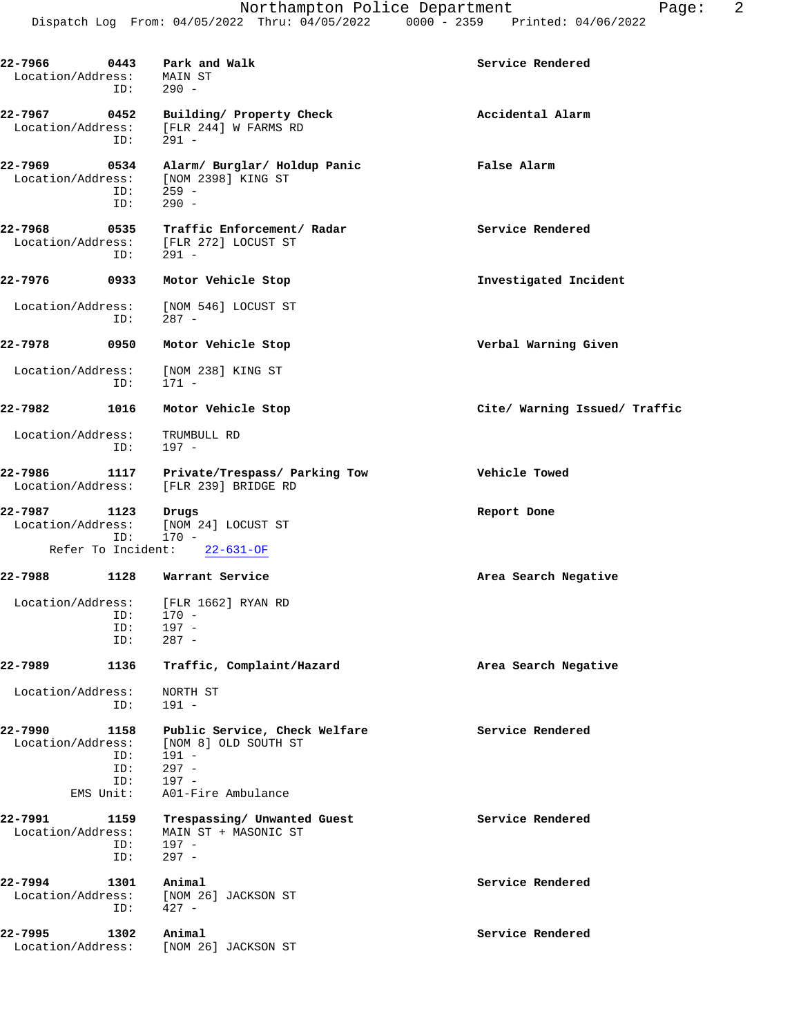| 22-7966<br>0443<br>Park and Walk<br>Service Rendered<br>Location/Address:<br>MAIN ST<br>$290 -$<br>ID:<br>22-7967<br>0452<br>Accidental Alarm<br>Building/ Property Check<br>Location/Address:<br>[FLR 244] W FARMS RD<br>ID:<br>291 -<br>22-7969<br>False Alarm<br>0534<br>Alarm/ Burglar/ Holdup Panic<br>Location/Address:<br>[NOM 2398] KING ST<br>ID:<br>$259 -$<br>$290 -$<br>ID:<br>22-7968<br>0535<br>Service Rendered<br>Traffic Enforcement/ Radar<br>Location/Address:<br>[FLR 272] LOCUST ST<br>$291 -$<br>ID:<br>22-7976<br>0933<br>Motor Vehicle Stop<br>Investigated Incident<br>Location/Address:<br>[NOM 546] LOCUST ST<br>$287 -$<br>ID:<br>22-7978<br>0950<br>Verbal Warning Given<br>Motor Vehicle Stop<br>Location/Address:<br>[NOM 238] KING ST<br>ID:<br>$171 -$<br>22-7982<br>1016<br>Motor Vehicle Stop<br>Cite/ Warning Issued/ Traffic<br>Location/Address:<br>TRUMBULL RD<br>ID:<br>197 -<br>22-7986<br>Vehicle Towed<br>1117<br>Private/Trespass/ Parking Tow<br>Location/Address:<br>[FLR 239] BRIDGE RD<br>22-7987<br>1123<br>Drugs<br>Report Done<br>Location/Address:<br>[NOM 24] LOCUST ST<br>$170 -$<br>ID:<br>Refer To Incident:<br>$22 - 631 - OF$<br>22-7988<br>1128<br>Warrant Service<br>Area Search Negative<br>Location/Address:<br>[FLR 1662] RYAN RD<br>$170 -$<br>ID:<br>$197 -$<br>ID:<br>$287 -$<br>ID:<br>1136<br>Traffic, Complaint/Hazard<br>22-7989<br>Area Search Negative<br>Location/Address:<br>NORTH ST<br>ID:<br>$191 -$<br>Service Rendered<br>22-7990<br>1158<br>Public Service, Check Welfare<br>Location/Address:<br>[NOM 8] OLD SOUTH ST<br>$191 -$<br>ID:<br>$297 -$<br>ID:<br>$197 -$<br>ID:<br>EMS Unit:<br>A01-Fire Ambulance<br>22-7991<br>Service Rendered<br>1159<br>Trespassing/ Unwanted Guest<br>Location/Address:<br>MAIN ST + MASONIC ST<br>$197 -$<br>ID:<br>$297 -$<br>ID:<br>22-7994<br>Animal<br>Service Rendered<br>1301<br>Location/Address:<br>[NOM 26] JACKSON ST<br>$427 -$<br>ID:<br>22-7995<br>Animal<br>Service Rendered<br>1302<br>Location/Address:<br>[NOM 26] JACKSON ST |  |  |
|--------------------------------------------------------------------------------------------------------------------------------------------------------------------------------------------------------------------------------------------------------------------------------------------------------------------------------------------------------------------------------------------------------------------------------------------------------------------------------------------------------------------------------------------------------------------------------------------------------------------------------------------------------------------------------------------------------------------------------------------------------------------------------------------------------------------------------------------------------------------------------------------------------------------------------------------------------------------------------------------------------------------------------------------------------------------------------------------------------------------------------------------------------------------------------------------------------------------------------------------------------------------------------------------------------------------------------------------------------------------------------------------------------------------------------------------------------------------------------------------------------------------------------------------------------------------------------------------------------------------------------------------------------------------------------------------------------------------------------------------------------------------------------------------------------------------------------------------------------------------------------------------------------------------------------------------------------------------------------------------------------------------------------------------------------------------|--|--|
|                                                                                                                                                                                                                                                                                                                                                                                                                                                                                                                                                                                                                                                                                                                                                                                                                                                                                                                                                                                                                                                                                                                                                                                                                                                                                                                                                                                                                                                                                                                                                                                                                                                                                                                                                                                                                                                                                                                                                                                                                                                                    |  |  |
|                                                                                                                                                                                                                                                                                                                                                                                                                                                                                                                                                                                                                                                                                                                                                                                                                                                                                                                                                                                                                                                                                                                                                                                                                                                                                                                                                                                                                                                                                                                                                                                                                                                                                                                                                                                                                                                                                                                                                                                                                                                                    |  |  |
|                                                                                                                                                                                                                                                                                                                                                                                                                                                                                                                                                                                                                                                                                                                                                                                                                                                                                                                                                                                                                                                                                                                                                                                                                                                                                                                                                                                                                                                                                                                                                                                                                                                                                                                                                                                                                                                                                                                                                                                                                                                                    |  |  |
|                                                                                                                                                                                                                                                                                                                                                                                                                                                                                                                                                                                                                                                                                                                                                                                                                                                                                                                                                                                                                                                                                                                                                                                                                                                                                                                                                                                                                                                                                                                                                                                                                                                                                                                                                                                                                                                                                                                                                                                                                                                                    |  |  |
|                                                                                                                                                                                                                                                                                                                                                                                                                                                                                                                                                                                                                                                                                                                                                                                                                                                                                                                                                                                                                                                                                                                                                                                                                                                                                                                                                                                                                                                                                                                                                                                                                                                                                                                                                                                                                                                                                                                                                                                                                                                                    |  |  |
|                                                                                                                                                                                                                                                                                                                                                                                                                                                                                                                                                                                                                                                                                                                                                                                                                                                                                                                                                                                                                                                                                                                                                                                                                                                                                                                                                                                                                                                                                                                                                                                                                                                                                                                                                                                                                                                                                                                                                                                                                                                                    |  |  |
|                                                                                                                                                                                                                                                                                                                                                                                                                                                                                                                                                                                                                                                                                                                                                                                                                                                                                                                                                                                                                                                                                                                                                                                                                                                                                                                                                                                                                                                                                                                                                                                                                                                                                                                                                                                                                                                                                                                                                                                                                                                                    |  |  |
|                                                                                                                                                                                                                                                                                                                                                                                                                                                                                                                                                                                                                                                                                                                                                                                                                                                                                                                                                                                                                                                                                                                                                                                                                                                                                                                                                                                                                                                                                                                                                                                                                                                                                                                                                                                                                                                                                                                                                                                                                                                                    |  |  |
|                                                                                                                                                                                                                                                                                                                                                                                                                                                                                                                                                                                                                                                                                                                                                                                                                                                                                                                                                                                                                                                                                                                                                                                                                                                                                                                                                                                                                                                                                                                                                                                                                                                                                                                                                                                                                                                                                                                                                                                                                                                                    |  |  |
|                                                                                                                                                                                                                                                                                                                                                                                                                                                                                                                                                                                                                                                                                                                                                                                                                                                                                                                                                                                                                                                                                                                                                                                                                                                                                                                                                                                                                                                                                                                                                                                                                                                                                                                                                                                                                                                                                                                                                                                                                                                                    |  |  |
|                                                                                                                                                                                                                                                                                                                                                                                                                                                                                                                                                                                                                                                                                                                                                                                                                                                                                                                                                                                                                                                                                                                                                                                                                                                                                                                                                                                                                                                                                                                                                                                                                                                                                                                                                                                                                                                                                                                                                                                                                                                                    |  |  |
|                                                                                                                                                                                                                                                                                                                                                                                                                                                                                                                                                                                                                                                                                                                                                                                                                                                                                                                                                                                                                                                                                                                                                                                                                                                                                                                                                                                                                                                                                                                                                                                                                                                                                                                                                                                                                                                                                                                                                                                                                                                                    |  |  |
|                                                                                                                                                                                                                                                                                                                                                                                                                                                                                                                                                                                                                                                                                                                                                                                                                                                                                                                                                                                                                                                                                                                                                                                                                                                                                                                                                                                                                                                                                                                                                                                                                                                                                                                                                                                                                                                                                                                                                                                                                                                                    |  |  |
|                                                                                                                                                                                                                                                                                                                                                                                                                                                                                                                                                                                                                                                                                                                                                                                                                                                                                                                                                                                                                                                                                                                                                                                                                                                                                                                                                                                                                                                                                                                                                                                                                                                                                                                                                                                                                                                                                                                                                                                                                                                                    |  |  |
|                                                                                                                                                                                                                                                                                                                                                                                                                                                                                                                                                                                                                                                                                                                                                                                                                                                                                                                                                                                                                                                                                                                                                                                                                                                                                                                                                                                                                                                                                                                                                                                                                                                                                                                                                                                                                                                                                                                                                                                                                                                                    |  |  |
|                                                                                                                                                                                                                                                                                                                                                                                                                                                                                                                                                                                                                                                                                                                                                                                                                                                                                                                                                                                                                                                                                                                                                                                                                                                                                                                                                                                                                                                                                                                                                                                                                                                                                                                                                                                                                                                                                                                                                                                                                                                                    |  |  |
|                                                                                                                                                                                                                                                                                                                                                                                                                                                                                                                                                                                                                                                                                                                                                                                                                                                                                                                                                                                                                                                                                                                                                                                                                                                                                                                                                                                                                                                                                                                                                                                                                                                                                                                                                                                                                                                                                                                                                                                                                                                                    |  |  |
|                                                                                                                                                                                                                                                                                                                                                                                                                                                                                                                                                                                                                                                                                                                                                                                                                                                                                                                                                                                                                                                                                                                                                                                                                                                                                                                                                                                                                                                                                                                                                                                                                                                                                                                                                                                                                                                                                                                                                                                                                                                                    |  |  |
|                                                                                                                                                                                                                                                                                                                                                                                                                                                                                                                                                                                                                                                                                                                                                                                                                                                                                                                                                                                                                                                                                                                                                                                                                                                                                                                                                                                                                                                                                                                                                                                                                                                                                                                                                                                                                                                                                                                                                                                                                                                                    |  |  |
|                                                                                                                                                                                                                                                                                                                                                                                                                                                                                                                                                                                                                                                                                                                                                                                                                                                                                                                                                                                                                                                                                                                                                                                                                                                                                                                                                                                                                                                                                                                                                                                                                                                                                                                                                                                                                                                                                                                                                                                                                                                                    |  |  |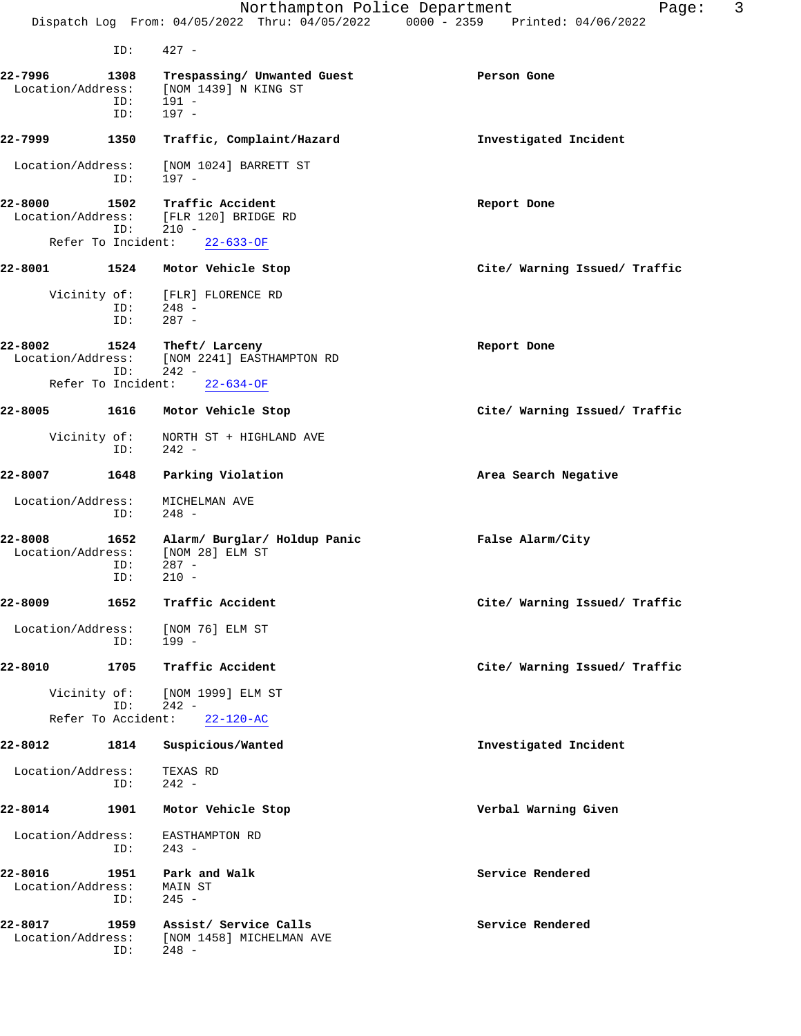|                                                    |                    | Northampton Police Department<br>Dispatch Log From: 04/05/2022 Thru: 04/05/2022 0000 - 2359 Printed: 04/06/2022 | Page:                         | 3 |
|----------------------------------------------------|--------------------|-----------------------------------------------------------------------------------------------------------------|-------------------------------|---|
|                                                    | ID:                | $427 -$                                                                                                         |                               |   |
| 22-7996<br>Location/Address:                       | 1308<br>ID:<br>ID: | Trespassing/ Unwanted Guest<br>[NOM 1439] N KING ST<br>191 -<br>$197 -$                                         | Person Gone                   |   |
| 22-7999                                            | 1350               | Traffic, Complaint/Hazard                                                                                       | Investigated Incident         |   |
| Location/Address:                                  | ID:                | [NOM 1024] BARRETT ST<br>197 -                                                                                  |                               |   |
| 22-8000<br>Location/Address:<br>Refer To Incident: | 1502<br>ID:        | Traffic Accident<br>[FLR 120] BRIDGE RD<br>$210 -$<br>$22 - 633 - OF$                                           | Report Done                   |   |
| 22-8001                                            | 1524               | Motor Vehicle Stop                                                                                              | Cite/ Warning Issued/ Traffic |   |
| Vicinity of:                                       | ID:<br>ID:         | [FLR] FLORENCE RD<br>$248 -$<br>$287 -$                                                                         |                               |   |
| 22-8002<br>Location/Address:                       | 1524<br>ID:        | Theft/ Larceny<br>[NOM 2241] EASTHAMPTON RD<br>$242 -$                                                          | Report Done                   |   |

Refer To Incident: 22-634-OF

# **22-8005 1616 Motor Vehicle Stop Cite/ Warning Issued/ Traffic** Vicinity of: <br> NORTH ST + HIGHLAND AVE<br>
ID: <br>
242 -

# $242 -$ **22-8007 1648 Parking Violation Area Search Negative**

 Location/Address: MICHELMAN AVE ID: 248 -

### **22-8008 1652 Alarm/ Burglar/ Holdup Panic False Alarm/City** Location/Address: ID: 287 -<br>ID: 210 - $210 -$

## **22-8009 1652 Traffic Accident Cite/ Warning Issued/ Traffic** Location/Address: [NOM 76] ELM ST<br>ID: 199 -ID: 199 -

# **22-8010 1705 Traffic Accident Cite/ Warning Issued/ Traffic**

 Vicinity of: [NOM 1999] ELM ST ID: 242 - Refer To Accident: 22-120-AC

### **22-8012 1814 Suspicious/Wanted Investigated Incident**

Location/Address: TEXAS RD<br>ID: 242 - $242 -$ 

## **22-8014 1901 Motor Vehicle Stop Verbal Warning Given** Location/Address: EASTHAMPTON RD

ID: 243 -

### **22-8016 1951 Park and Walk Service Rendered** Location/Address: MAIN ST ID: 245 -

### **22-8017 1959 Assist/ Service Calls Service Rendered** Location/Address: [NOM 1458] MICHELMAN AVE ID: 248 -